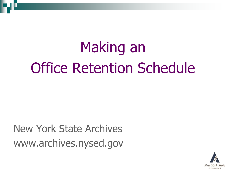# Making an Office Retention Schedule

New York State Archives www.archives.nysed.gov

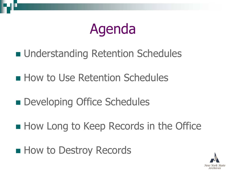

- **understanding Retention Schedules**
- **How to Use Retention Schedules**
- **Developing Office Schedules**
- How Long to Keep Records in the Office
- **How to Destroy Records**

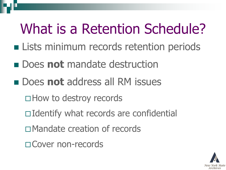# What is a Retention Schedule?

- **Example 1 Lists minimum records retention periods**
- **n** Does **not** mandate destruction
- **not** address all RM issues
	- □ How to destroy records
	- □ Identify what records are confidential
	- Mandate creation of records
	- □ Cover non-records

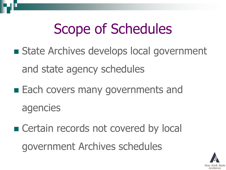# Scope of Schedules

- **State Archives develops local government** and state agency schedules
- Each covers many governments and agencies
- Certain records not covered by local government Archives schedules

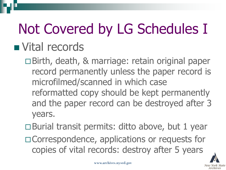# Not Covered by LG Schedules I **N** Vital records

Birth, death, & marriage: retain original paper record permanently unless the paper record is microfilmed/scanned in which case reformatted copy should be kept permanently and the paper record can be destroyed after 3 years.

 $\Box$  Burial transit permits: ditto above, but 1 year

□ Correspondence, applications or requests for copies of vital records: destroy after 5 years

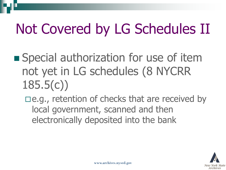# Not Covered by LG Schedules II

**Special authorization for use of item** not yet in LG schedules (8 NYCRR 185.5(c))

 $\Box$ e.g., retention of checks that are received by local government, scanned and then electronically deposited into the bank

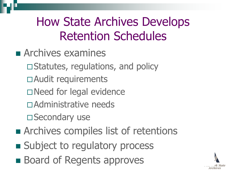### How State Archives Develops Retention Schedules

- **Examines** 
	- $\square$  Statutes, regulations, and policy
	- Audit requirements
	- □Need for legal evidence
	- Administrative needs

□ Secondary use

- **Exercise Archives compiles list of retentions**
- Subject to regulatory process
- **Board of Regents approves**

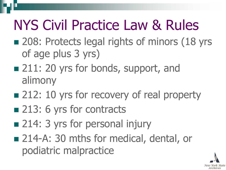## NYS Civil Practice Law & Rules

- 208: Protects legal rights of minors (18 yrs of age plus 3 yrs)
- 211: 20 yrs for bonds, support, and alimony
- 212: 10 yrs for recovery of real property
- 213: 6 yrs for contracts
- 214: 3 yrs for personal injury
- 214-A: 30 mths for medical, dental, or podiatric malpractice

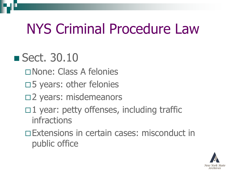## NYS Criminal Procedure Law

### ■ Sect. 30.10

- None: Class A felonies
- $\square$ 5 years: other felonies
- □2 years: misdemeanors
- $\Box$ 1 year: petty offenses, including traffic infractions
- Extensions in certain cases: misconduct in public office

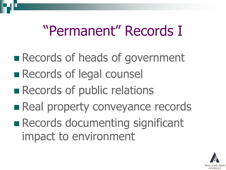### "Permanent" Records I

- **Records of heads of government**
- Records of legal counsel
- **Records of public relations**
- **Real property conveyance records**
- **Records documenting significant** impact to environment

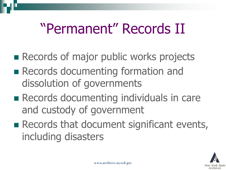### "Permanent" Records II

- **Records of major public works projects**
- **Records documenting formation and** dissolution of governments
- **Records documenting individuals in care** and custody of government
- **Records that document significant events,** including disasters

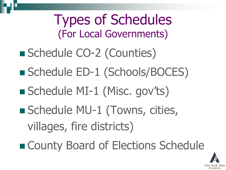Types of Schedules (For Local Governments) ■ Schedule CO-2 (Counties) ■ Schedule ED-1 (Schools/BOCES) Schedule MI-1 (Misc. gov'ts) ■ Schedule MU-1 (Towns, cities, villages, fire districts) ■ County Board of Elections Schedule

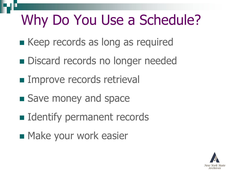### Why Do You Use a Schedule?

- Keep records as long as required
- **Discard records no longer needed**
- **Improve records retrieval**
- Save money and space
- **I** Identify permanent records
- **Nake your work easier**

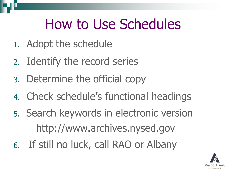### How to Use Schedules

- 1. Adopt the schedule
- 2. Identify the record series
- 3. Determine the official copy
- 4. Check schedule's functional headings
- 5. Search keywords in electronic version http://www.archives.nysed.gov
- 6. If still no luck, call RAO or Albany

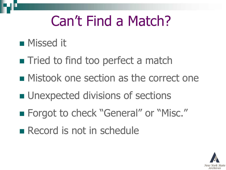### Can't Find a Match?

#### **Nissed it**

- **Tried to find too perfect a match**
- **Mistook one section as the correct one**
- **u.** Unexpected divisions of sections
- Forgot to check "General" or "Misc."
- Record is not in schedule

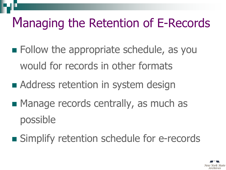### Managing the Retention of E-Records

- **Example 3 Follow the appropriate schedule, as you** would for records in other formats
- Address retention in system design
- **Manage records centrally, as much as** possible
- **Simplify retention schedule for e-records**

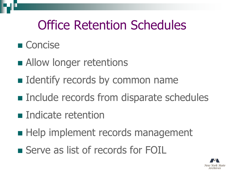### Office Retention Schedules

#### ■ Concise

- **Allow longer retentions**
- **I** Identify records by common name
- **Include records from disparate schedules**
- **Indicate retention**
- **Help implement records management**
- Serve as list of records for FOIL

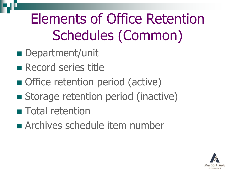## Elements of Office Retention Schedules (Common)

- Department/unit
- Record series title
- Office retention period (active)
- Storage retention period (inactive)
- **Total retention**
- **Archives schedule item number**

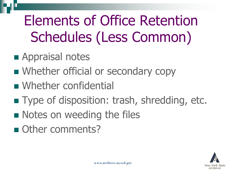Elements of Office Retention Schedules (Less Common)

- **Appraisal notes**
- **Number official or secondary copy**
- **Number confidential**
- **Type of disposition: trash, shredding, etc.**
- **Notes on weeding the files**
- Other comments?

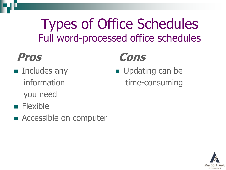### Types of Office Schedules Full word-processed office schedules

#### **Pros**

- **n** Includes any information you need
- **Flexible**
- Accessible on computer

#### **Cons**

**Updating can be** time-consuming

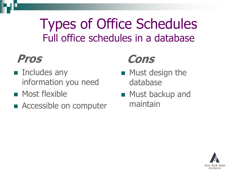### Types of Office Schedules Full office schedules in a database

#### **Pros**

- **Includes any** information you need
- **Most flexible**
- Accessible on computer

#### **Cons**

- $\blacksquare$  Must design the database
- **Must backup and** maintain

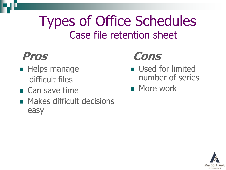### Types of Office Schedules Case file retention sheet

### **Pros**

- $\blacksquare$  Helps manage difficult files
- **E** Can save time
- **Makes difficult decisions** easy

### **Cons**

- **Used for limited** number of series
- **Nore work**

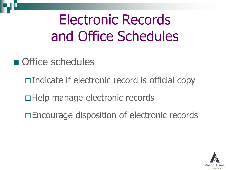Electronic Records and Office Schedules

- **n** Office schedules
	- $\Box$ Indicate if electronic record is official copy
	- □Help manage electronic records
	- □ Encourage disposition of electronic records

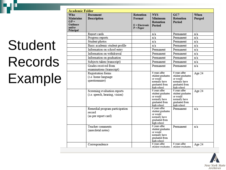# Student Records Example

| <b>Academic Folder</b>                                                       |                                                                  |                                                               |                                                                                                  |                                                                                                  |                |  |
|------------------------------------------------------------------------------|------------------------------------------------------------------|---------------------------------------------------------------|--------------------------------------------------------------------------------------------------|--------------------------------------------------------------------------------------------------|----------------|--|
| <b>Who</b><br><b>Maintains</b><br>$G/P =$<br>Guidance<br>and/or<br>Principal | <b>Document</b><br><b>Description</b>                            | <b>Retention</b><br>Format<br>$E =$ Electronic<br>$P = Paper$ | <b>NYS</b><br>Minimum<br><b>Retention</b><br>Period                                              | GC7<br><b>Retention</b><br>Period                                                                | When<br>Purged |  |
|                                                                              | Report cards                                                     |                                                               | n/a                                                                                              | Permanent                                                                                        | n/a            |  |
|                                                                              | Progress reports                                                 |                                                               | n/a                                                                                              | Permanent                                                                                        | n/a            |  |
|                                                                              | Student photos                                                   |                                                               | n/a                                                                                              | Permanent                                                                                        | n/a            |  |
|                                                                              | Basic academic student profile                                   |                                                               | n/a                                                                                              | Permanent                                                                                        | n/a            |  |
|                                                                              | Information on school entry                                      |                                                               | Permanent                                                                                        | Permanent                                                                                        | n/a            |  |
|                                                                              | Information on withdrawal                                        |                                                               | Permanent                                                                                        | Permanent                                                                                        | n/a            |  |
|                                                                              | Information on graduation                                        |                                                               | Permanent                                                                                        | Permanent                                                                                        | n/a            |  |
|                                                                              | Subjects taken (transcript)                                      |                                                               | Permanent                                                                                        | Permanent                                                                                        | n/a            |  |
|                                                                              | Grades received from<br>examinations (transcript)                |                                                               | Permanent                                                                                        | Permanent                                                                                        | n/a            |  |
|                                                                              | Registration forms<br>(i.e. home language<br>questionnaire)      |                                                               | 6 years after<br>student graduates<br>or would<br>normally have<br>graduated from<br>high school | 6 years after<br>student graduates<br>or would<br>normally have<br>graduated from<br>high school | Age 24         |  |
|                                                                              | Screening evaluation reports<br>(i.e. speech, hearing, vision)   |                                                               | 6 years after<br>student graduates<br>or would<br>normally have<br>graduated from<br>high school | 6 years after<br>student graduates<br>or would<br>normally have<br>graduated from<br>high school | Age 24         |  |
|                                                                              | Remedial program participation<br>record<br>(as per report card) |                                                               | 6 years after<br>student graduates<br>or would<br>normally have<br>graduated from<br>high school | Permanent                                                                                        | n/a            |  |
|                                                                              | Teacher comments<br>(anecdotal notes)                            |                                                               | 6 years after<br>student graduates<br>or would<br>normally have<br>graduated from<br>high school | Permanent                                                                                        | n/a            |  |
|                                                                              | Correspondence                                                   |                                                               | 6 years after<br>student graduates                                                               | 6 years after<br>student graduates                                                               | Age 24         |  |

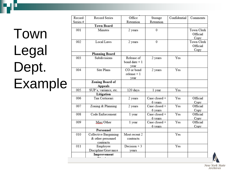# Town Legal Dept. Example

| Record   | Record Series         | Office         | Storage       | Confidential | Comments   |
|----------|-----------------------|----------------|---------------|--------------|------------|
| Series # |                       | Retention      | Retention     |              |            |
|          | <b>Town Board</b>     |                |               |              |            |
| 001      | Minutes               | 2 years        | 0             |              | Town Clerk |
|          |                       |                |               |              | Official   |
|          |                       |                |               |              | Copy       |
| 002      | Local Laws            | 2 years        | 0             |              | Town Clerk |
|          |                       |                |               |              | Official   |
|          |                       |                |               |              | Copy       |
|          | <b>Planning Board</b> |                |               |              |            |
| 003      | Subdivisions          | Release of     | 2 years       | Yes          |            |
|          |                       | bond date $+1$ |               |              |            |
|          |                       | year           |               |              |            |
| 004      | Site Plans            | CO or bond     | 2 years       | Yes          |            |
|          |                       | $release + 1$  |               |              |            |
|          |                       | year           |               |              |            |
|          | Zoning Board of       |                |               |              |            |
|          | Appeals               |                |               |              |            |
| 005      | SUP's, variance, etc. | 120 days       | 1 year        | Yes          |            |
|          | Litigation            |                |               |              |            |
| 006      | Tax Certiorari        | 2 years        | Case closed + | Yes          | Official   |
|          |                       |                | 6 years       |              | Copy       |
| 007      | Zoning & Planning     | 2 years        | Case closed + | Yes          | Official   |
|          |                       |                | 6 years       |              | Copy       |
| 008      | Code Enforcement      | 1 year         | Case closed + | Yes          | Official   |
|          |                       |                | 6 years       |              | Copy       |
| 009      | Misc/Other            | 1 year         | Case closed + | Yes          | Official   |
|          |                       |                | 6 years       |              | Copy       |
|          | Personnel             |                |               |              |            |
| 010      | Collective Bargaining | Most recent 2  |               | Yes          |            |
|          | & other personnel     | contracts      |               |              |            |
|          | contracts             |                |               |              |            |
| 011      | Employee              | Decision $+3$  |               | Yes          |            |
|          | Discipline/Grievance  | vears          |               |              |            |
|          | Improvement           |                |               |              |            |
|          |                       |                |               |              |            |

New York State Archives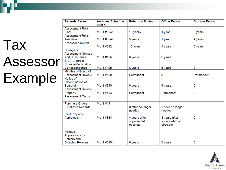# **Tax** Assessor Example

| <b>Records Series</b>     | <b>Archives Schedule</b><br>Item# | <b>Retention Minimum</b>  | <b>Office Retain</b>      | <b>Storage Retain</b> |
|---------------------------|-----------------------------------|---------------------------|---------------------------|-----------------------|
| Assessment Rolls-         |                                   |                           |                           |                       |
| Final                     | MU-1 #594b                        | 10 years                  | 1 year                    | 9 years               |
| Assessment Rolls -        |                                   |                           |                           |                       |
| <b>Tentative</b>          | MU-1 #594a                        | 5 years                   | 1 year                    | 4 years               |
| Assessor's Report         |                                   |                           |                           |                       |
|                           | MU-1 #592                         | 10 years                  | 5 years                   | 5 years               |
| Change of                 |                                   |                           |                           |                       |
| <b>Assessment Notices</b> |                                   |                           |                           |                       |
| <b>And Summaries</b>      | MU-1#10b                          | 6 years                   | 6 years                   | 0                     |
| E-911 Address             |                                   |                           |                           |                       |
| Change/Verification       |                                   |                           |                           |                       |
| Correspondence            | MU-1#10b                          | 6 years                   | 6 years                   | 0                     |
| Minutes of Board of       |                                   |                           |                           |                       |
| <b>Assessment Review</b>  | MU-1#590                          | Permanent                 | 0                         | Permanent             |
| Notice of                 |                                   |                           |                           |                       |
| Determination of          |                                   |                           |                           |                       |
| Board of                  | MU-1 #590                         | 6 years                   | 6 years                   | 0                     |
| <b>Assessment Review</b>  |                                   |                           |                           |                       |
| Property                  | MU-1 #583                         | Permanent                 | Permanent                 | 0                     |
| <b>Assessment Cards</b>   |                                   |                           |                           |                       |
|                           |                                   |                           |                           |                       |
| <b>Purchase Orders</b>    | MU-1#19                           |                           |                           |                       |
| (Duplicate Records)       |                                   | 0 after no longer         | 0 after no longer         | 0                     |
|                           |                                   | needed                    | needed                    |                       |
| <b>Real Property</b>      |                                   |                           |                           |                       |
| Appraisals                | MU-1 #584                         | 4 years after             | 4 years after             | 0                     |
|                           |                                   | superseded or<br>obsolete | superseded or<br>obsolete |                       |
|                           |                                   |                           |                           |                       |
| Renewal                   |                                   |                           |                           |                       |
| Applications for          |                                   |                           |                           |                       |
| Seniors and               |                                   |                           |                           |                       |
| <b>Disabled Persons</b>   | MU-1#589b                         | 6 years                   | 6 years                   | 0                     |
|                           |                                   |                           |                           |                       |

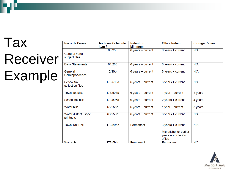# Tax Receiver Example

| <b>Records Series</b>                | <b>Archives Schedule</b><br>Item $#$ | <b>Retention</b><br><b>Minimum</b> | <b>Office Retain</b>                                                         | <b>Storage Retain</b> |
|--------------------------------------|--------------------------------------|------------------------------------|------------------------------------------------------------------------------|-----------------------|
| <b>General Fund</b><br>subject files | 66/256                               | $6$ years + current                | 6 years + current                                                            | N/A                   |
| <b>Bank Statements</b>               | 61/263                               | 6 years + current                  | 6 years + current                                                            | N/A                   |
| General<br>Correspondence            | 2/10 <sub>b</sub>                    | 6 years + current                  | 6 years + current                                                            | N/A                   |
| School tax<br>collection files       | 173/595a                             | 6 years + current                  | 6 years + current                                                            | N/A                   |
| Town tax bills                       | 173/595a                             | 6 years + current                  | 1 year $+$ current                                                           | 5 years               |
| School tax bills                     | 173/595a                             | 6 years $+$ current                | 2 years + current                                                            | 4 years               |
| <b>Water bills</b>                   | 66/256b                              | 6 years + current                  | 1 year $+$ current                                                           | 5 years               |
| Water district usage<br>printouts    | 66/256b                              | $6$ years + current                | 6 years + current                                                            | N/A                   |
| <b>Town Tax Roll</b>                 | 173/594c                             | Permanent                          | 3 years + current<br>Microfiche for earlier<br>years is in Clerk's<br>office | N/A                   |
| <i>Marrante</i>                      | 172/50A <sub>c</sub>                 | Dermanent                          | Dermanent                                                                    | <b>NI/A</b>           |

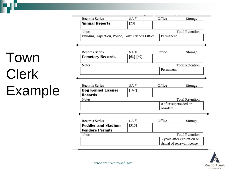$\overline{\phantom{a}}$ Office Records Series  $SA#$ Storage **Annual Reports**  $[23]$ **Total Retention** Notes: Building Inspection, Police, Town Clerk's Office Permanent

| Records Series                   | SA #            | Office    | Storage |  |  |
|----------------------------------|-----------------|-----------|---------|--|--|
| <b>Cemetery Records</b>          | $[63]$ - $[69]$ |           |         |  |  |
| <b>Total Retention</b><br>Notes: |                 |           |         |  |  |
|                                  |                 | Permanent |         |  |  |
|                                  |                 |           |         |  |  |

| Records Series                   | SA#                   |  | Office | Storage |
|----------------------------------|-----------------------|--|--------|---------|
| Dog Kennel License               | $[162]$               |  |        |         |
| <b>Records</b>                   |                       |  |        |         |
| <b>Total Retention</b><br>Notes: |                       |  |        |         |
|                                  | 0 after superseded or |  |        |         |
|                                  | obsolete              |  |        |         |
|                                  |                       |  |        |         |

| Records Series             | SA#                       |  | Office                      | Storage |  |
|----------------------------|---------------------------|--|-----------------------------|---------|--|
| <b>Peddler and Stadium</b> | $[315]$                   |  |                             |         |  |
| <b>Vendors Permits</b>     |                           |  |                             |         |  |
| Total Retention<br>Notes:  |                           |  |                             |         |  |
|                            |                           |  | 3 years after expiration or |         |  |
|                            | denial of renewal license |  |                             |         |  |



## Town Clerk Example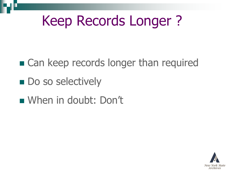### Keep Records Longer ?

■ Can keep records longer than required

- **Do so selectively**
- When in doubt: Don't

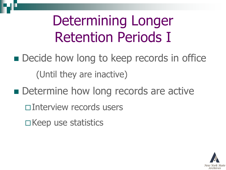## Determining Longer Retention Periods I

- **Decide how long to keep records in office** (Until they are inactive)
- Determine how long records are active
	- Interview records users
	- $\square$  Keep use statistics

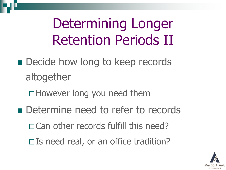Determining Longer Retention Periods II

- **Decide how long to keep records** altogether
	- However long you need them
- Determine need to refer to records
	- Can other records fulfill this need?
	- $\square$  Is need real, or an office tradition?

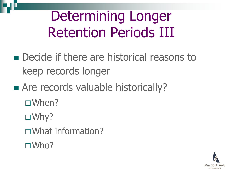### Determining Longer Retention Periods III

- **Decide if there are historical reasons to** keep records longer
- Are records valuable historically?
	- When?
	- □Why?
	- What information?
	- □Who?

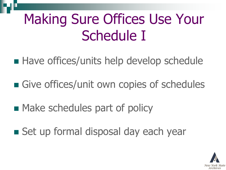## Making Sure Offices Use Your Schedule I

- Have offices/units help develop schedule
- Give offices/unit own copies of schedules
- **Make schedules part of policy**
- Set up formal disposal day each year

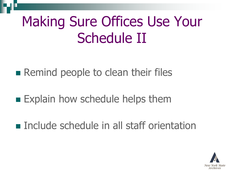## Making Sure Offices Use Your Schedule II

- **Remind people to clean their files**
- **Explain how schedule helps them**
- **Include schedule in all staff orientation**

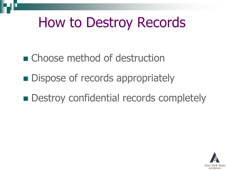### How to Destroy Records

■ Choose method of destruction

- **Dispose of records appropriately**
- **Destroy confidential records completely**

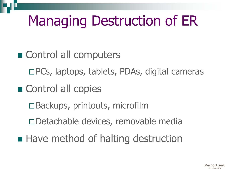## Managing Destruction of ER

- Control all computers
	- □PCs, laptops, tablets, PDAs, digital cameras
- Control all copies
	- □Backups, printouts, microfilm
	- □ Detachable devices, removable media
- Have method of halting destruction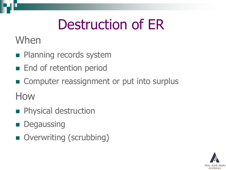## Destruction of ER

When

- **Planning records system**
- **End of retention period**
- Computer reassignment or put into surplus

How

- **Physical destruction**
- **Degaussing**
- Overwriting (scrubbing)

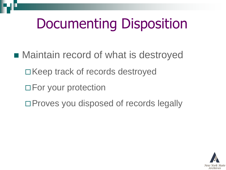## Documenting Disposition

- Maintain record of what is destroyed  $\Box$ Keep track of records destroyed □ For your protection
	- □ Proves you disposed of records legally

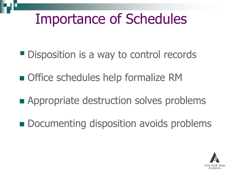### Importance of Schedules

- **Disposition is a way to control records**
- Office schedules help formalize RM
- **Appropriate destruction solves problems**
- **Documenting disposition avoids problems**